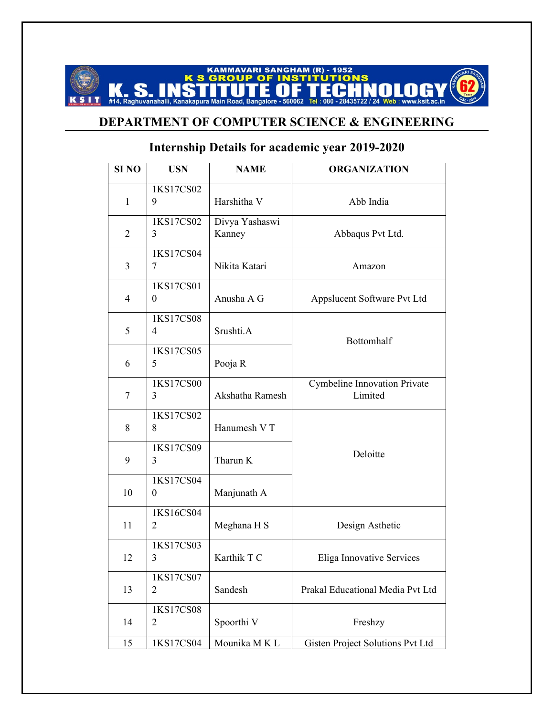## **KAMMAVARI SANGHAM (R) - 1952<br>GROUP OF INSTITUTIONS CS** #14, Raghuvanahalli, Kanakapura Main Road, Bangalore - 560062 Tel : 080 - 28435722 NALAAY **SIT** www.ksit.ac.in

## **DEPARTMENT OF COMPUTER SCIENCE & ENGINEERING**

## **Internship Details for academic year 2019-2020**

| SI <sub>NO</sub> | <b>USN</b>            | <b>NAME</b>              | <b>ORGANIZATION</b>                            |
|------------------|-----------------------|--------------------------|------------------------------------------------|
| $\mathbf{1}$     | 1KS17CS02<br>9        | Harshitha V              | Abb India                                      |
| $\overline{2}$   | 1KS17CS02<br>3        | Divya Yashaswi<br>Kanney | Abbaqus Pvt Ltd.                               |
| 3                | 1KS17CS04<br>7        | Nikita Katari            | Amazon                                         |
| $\overline{4}$   | 1KS17CS01<br>$\theta$ | Anusha A G               | Appslucent Software Pvt Ltd                    |
| 5                | 1KS17CS08<br>4        | Srushti.A                | Bottomhalf                                     |
| 6                | 1KS17CS05<br>5        | Pooja R                  |                                                |
| 7                | 1KS17CS00<br>3        | Akshatha Ramesh          | <b>Cymbeline Innovation Private</b><br>Limited |
| 8                | 1KS17CS02<br>8        | Hanumesh V T             |                                                |
| 9                | 1KS17CS09<br>3        | Tharun K                 | Deloitte                                       |
| 10               | 1KS17CS04<br>$\theta$ | Manjunath A              |                                                |
| 11               | 1KS16CS04<br>2        | Meghana H S              | Design Asthetic                                |
| 12               | 1KS17CS03<br>3        | Karthik T C              | Eliga Innovative Services                      |
| 13               | 1KS17CS07<br>2        | Sandesh                  | Prakal Educational Media Pvt Ltd               |
| 14               | 1KS17CS08<br>2        | Spoorthi V               | Freshzy                                        |
| 15               | 1KS17CS04             | Mounika MKL              | Gisten Project Solutions Pvt Ltd               |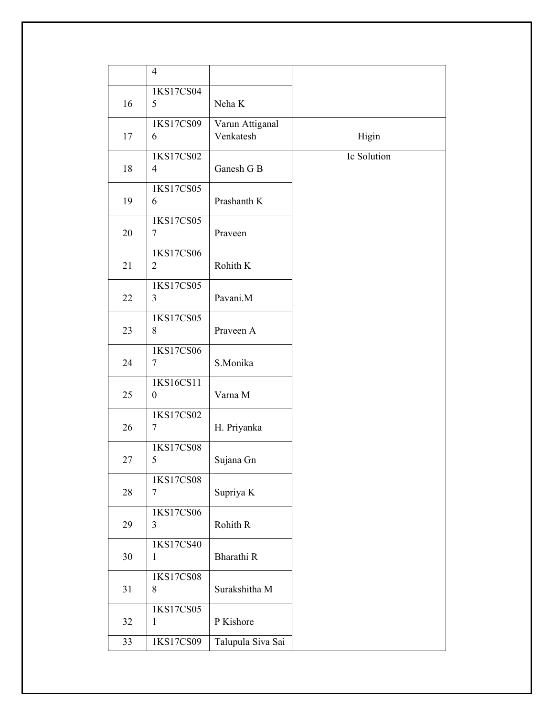|    | $\overline{4}$                |                              |             |
|----|-------------------------------|------------------------------|-------------|
| 16 | 1KS17CS04<br>5                | Neha K                       |             |
| 17 | 1KS17CS09<br>6                | Varun Attiganal<br>Venkatesh | Higin       |
| 18 | 1KS17CS02<br>$\overline{4}$   | Ganesh G B                   | Ic Solution |
| 19 | 1KS17CS05<br>6                | Prashanth K                  |             |
| 20 | 1KS17CS05<br>7                | Praveen                      |             |
| 21 | 1KS17CS06<br>$\overline{2}$   | Rohith K                     |             |
| 22 | 1KS17CS05<br>3                | Pavani.M                     |             |
| 23 | 1KS17CS05<br>8                | Praveen A                    |             |
| 24 | 1KS17CS06<br>7                | S.Monika                     |             |
| 25 | 1KS16CS11<br>$\boldsymbol{0}$ | Varna M                      |             |
| 26 | 1KS17CS02<br>7                | H. Priyanka                  |             |
| 27 | 1KS17CS08<br>5                | Sujana Gn                    |             |
| 28 | 1KS17CS08<br>$\tau$           | Supriya K                    |             |
| 29 | 1KS17CS06<br>3                | Rohith R                     |             |
| 30 | 1KS17CS40<br>$\mathbf{1}$     | Bharathi R                   |             |
| 31 | 1KS17CS08<br>8                | Surakshitha M                |             |
| 32 | 1KS17CS05<br>$\mathbf{1}$     | P Kishore                    |             |
| 33 | 1KS17CS09                     | Talupula Siva Sai            |             |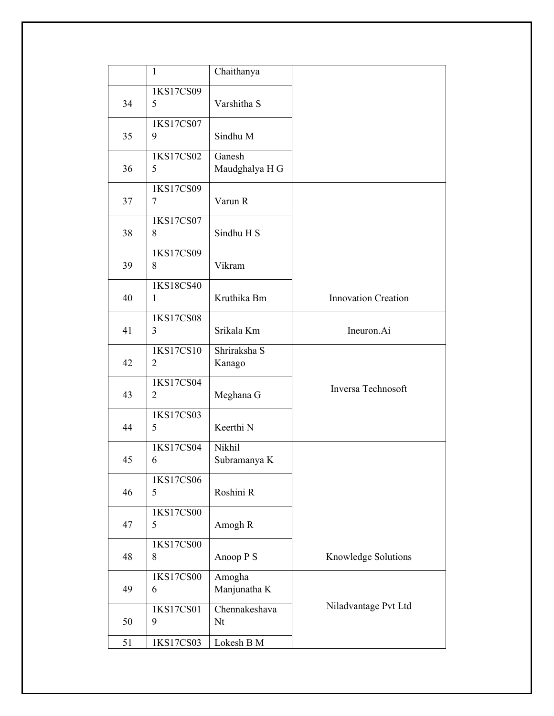|    | $\mathbf{1}$                | Chaithanya               |                            |
|----|-----------------------------|--------------------------|----------------------------|
| 34 | 1KS17CS09<br>5              | Varshitha S              |                            |
| 35 | 1KS17CS07<br>9              | Sindhu M                 |                            |
| 36 | 1KS17CS02<br>5              | Ganesh<br>Maudghalya H G |                            |
| 37 | 1KS17CS09<br>$\tau$         | Varun R                  |                            |
| 38 | 1KS17CS07<br>8              | Sindhu H S               |                            |
| 39 | 1KS17CS09<br>8              | Vikram                   |                            |
| 40 | 1KS18CS40<br>1              | Kruthika Bm              | <b>Innovation Creation</b> |
| 41 | 1KS17CS08<br>3              | Srikala Km               | Ineuron.Ai                 |
| 42 | 1KS17CS10<br>$\overline{2}$ | Shriraksha S<br>Kanago   |                            |
| 43 | 1KS17CS04<br>2              | Meghana G                | Inversa Technosoft         |
| 44 | 1KS17CS03<br>5              | Keerthi N                |                            |
| 45 | 1KS17CS04<br>6              | Nikhil<br>Subramanya K   |                            |
| 46 | 1KS17CS06<br>5              | Roshini R                |                            |
| 47 | 1KS17CS00<br>5              | Amogh R                  |                            |
| 48 | 1KS17CS00<br>8              | Anoop P S                | Knowledge Solutions        |
| 49 | 1KS17CS00<br>6              | Amogha<br>Manjunatha K   |                            |
| 50 | 1KS17CS01<br>9              | Chennakeshava<br>Nt      | Niladvantage Pvt Ltd       |
| 51 | 1KS17CS03                   | Lokesh B M               |                            |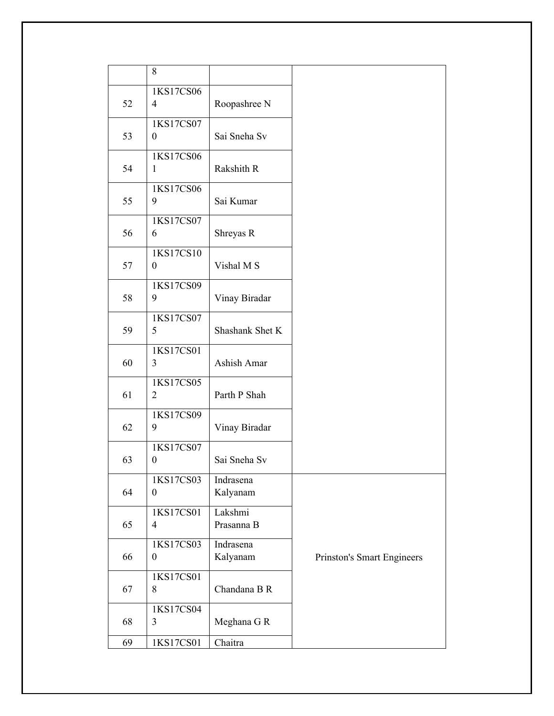|    | 8                             |                       |                            |
|----|-------------------------------|-----------------------|----------------------------|
| 52 | 1KS17CS06<br>$\overline{4}$   | Roopashree N          |                            |
| 53 | 1KS17CS07<br>$\boldsymbol{0}$ | Sai Sneha Sv          |                            |
| 54 | 1KS17CS06<br>$\mathbf{1}$     | Rakshith R            |                            |
| 55 | 1KS17CS06<br>9                | Sai Kumar             |                            |
| 56 | 1KS17CS07<br>6                | Shreyas R             |                            |
| 57 | 1KS17CS10<br>$\boldsymbol{0}$ | Vishal M S            |                            |
| 58 | 1KS17CS09<br>9                | Vinay Biradar         |                            |
| 59 | 1KS17CS07<br>5                | Shashank Shet K       |                            |
| 60 | 1KS17CS01<br>3                | Ashish Amar           |                            |
| 61 | 1KS17CS05<br>$\overline{2}$   | Parth P Shah          |                            |
| 62 | 1KS17CS09<br>9                | Vinay Biradar         |                            |
| 63 | 1KS17CS07<br>$\boldsymbol{0}$ | Sai Sneha Sv          |                            |
| 64 | 1KS17CS03<br>$\overline{0}$   | Indrasena<br>Kalyanam |                            |
| 65 | 1KS17CS01<br>$\overline{4}$   | Lakshmi<br>Prasanna B |                            |
| 66 | 1KS17CS03<br>$\boldsymbol{0}$ | Indrasena<br>Kalyanam | Prinston's Smart Engineers |
| 67 | 1KS17CS01<br>8                | Chandana B R          |                            |
| 68 | 1KS17CS04<br>3                | Meghana G R           |                            |
| 69 | 1KS17CS01                     | Chaitra               |                            |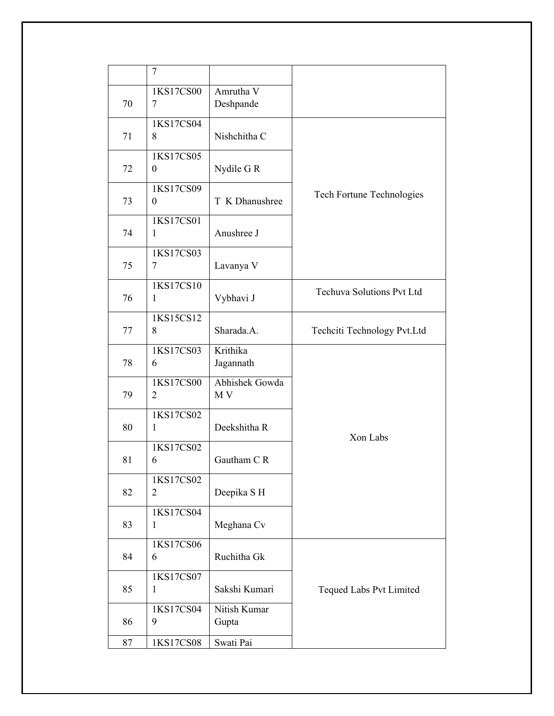|    | 7                         |                        |                                  |
|----|---------------------------|------------------------|----------------------------------|
| 70 | 1KS17CS00<br>7            | Amrutha V<br>Deshpande |                                  |
| 71 | 1KS17CS04<br>8            | Nishchitha C           |                                  |
| 72 | 1KS17CS05<br>$\theta$     | Nydile G R             |                                  |
| 73 | 1KS17CS09<br>$\theta$     | T K Dhanushree         | Tech Fortune Technologies        |
| 74 | 1KS17CS01<br>1            | Anushree J             |                                  |
| 75 | 1KS17CS03<br>7            | Lavanya V              |                                  |
| 76 | 1KS17CS10<br>1            | Vybhavi J              | <b>Techuva Solutions Pvt Ltd</b> |
| 77 | 1KS15CS12<br>8            | Sharada.A.             | Techciti Technology Pvt.Ltd      |
| 78 | 1KS17CS03<br>6            | Krithika<br>Jagannath  |                                  |
| 79 | 1KS17CS00<br>2            | Abhishek Gowda<br>M V  |                                  |
| 80 | 1KS17CS02<br>$\mathbf{1}$ | Deekshitha R           | Xon Labs                         |
| 81 | 1KS17CS02<br>6            | Gautham CR             |                                  |
| 82 | 1KS17CS02<br>2            | Deepika SH             |                                  |
| 83 | 1KS17CS04<br>1            | Meghana Cv             |                                  |
| 84 | 1KS17CS06<br>6            | Ruchitha Gk            |                                  |
| 85 | 1KS17CS07<br>1            | Sakshi Kumari          | Tequed Labs Pvt Limited          |
| 86 | 1KS17CS04<br>9            | Nitish Kumar<br>Gupta  |                                  |
| 87 | 1KS17CS08                 | Swati Pai              |                                  |